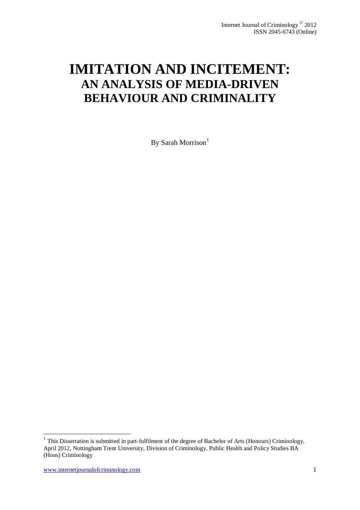# **IMITATION AND INCITEMENT: AN ANALYSIS OF MEDIA-DRIVEN BEHAVIOUR AND CRIMINALITY**

By Sarah Morrison $<sup>1</sup>$ </sup>

-

<sup>&</sup>lt;sup>1</sup> This Dissertation is submitted in part-fulfilment of the degree of Bachelor of Arts (Honours) Criminology, April 2012, Nottingham Trent University, Division of Criminology, Public Health and Policy Studies BA (Hons) Criminology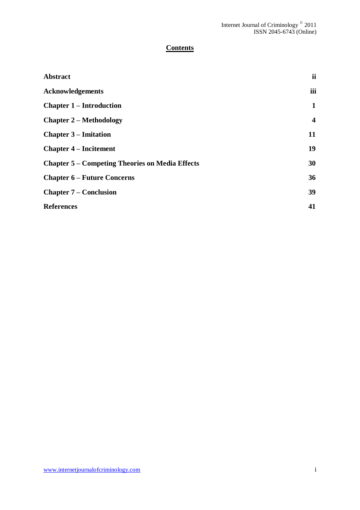# **Contents**

| <b>Abstract</b>                                        | ii               |
|--------------------------------------------------------|------------------|
| <b>Acknowledgements</b>                                | iii              |
| <b>Chapter 1 – Introduction</b>                        | 1                |
| <b>Chapter 2 – Methodology</b>                         | $\boldsymbol{4}$ |
| <b>Chapter 3 – Imitation</b>                           | 11               |
| <b>Chapter 4 – Incitement</b>                          | 19               |
| <b>Chapter 5 – Competing Theories on Media Effects</b> | 30               |
| <b>Chapter 6 – Future Concerns</b>                     | 36               |
| <b>Chapter 7 – Conclusion</b>                          | 39               |
| <b>References</b>                                      | 41               |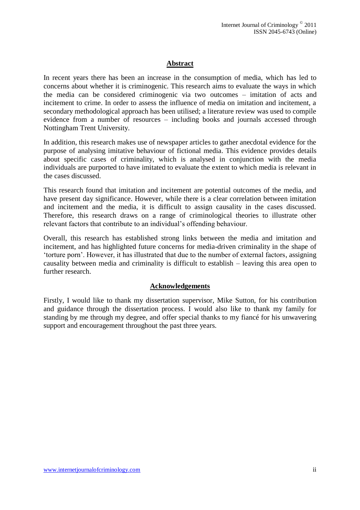# **Abstract**

In recent years there has been an increase in the consumption of media, which has led to concerns about whether it is criminogenic. This research aims to evaluate the ways in which the media can be considered criminogenic via two outcomes – imitation of acts and incitement to crime. In order to assess the influence of media on imitation and incitement, a secondary methodological approach has been utilised; a literature review was used to compile evidence from a number of resources – including books and journals accessed through Nottingham Trent University.

In addition, this research makes use of newspaper articles to gather anecdotal evidence for the purpose of analysing imitative behaviour of fictional media. This evidence provides details about specific cases of criminality, which is analysed in conjunction with the media individuals are purported to have imitated to evaluate the extent to which media is relevant in the cases discussed.

This research found that imitation and incitement are potential outcomes of the media, and have present day significance. However, while there is a clear correlation between imitation and incitement and the media, it is difficult to assign causality in the cases discussed. Therefore, this research draws on a range of criminological theories to illustrate other relevant factors that contribute to an individual's offending behaviour.

Overall, this research has established strong links between the media and imitation and incitement, and has highlighted future concerns for media-driven criminality in the shape of 'torture porn'. However, it has illustrated that due to the number of external factors, assigning causality between media and criminality is difficult to establish – leaving this area open to further research.

# **Acknowledgements**

Firstly, I would like to thank my dissertation supervisor, Mike Sutton, for his contribution and guidance through the dissertation process. I would also like to thank my family for standing by me through my degree, and offer special thanks to my fiancé for his unwavering support and encouragement throughout the past three years.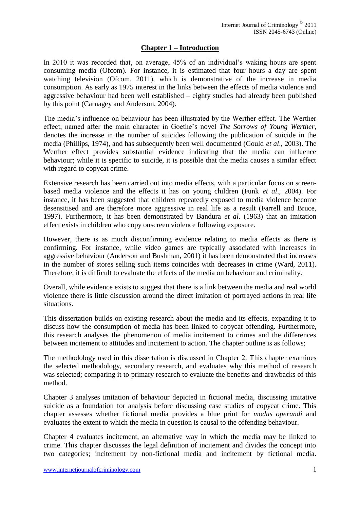# **Chapter 1 – Introduction**

In 2010 it was recorded that, on average, 45% of an individual's waking hours are spent consuming media (Ofcom). For instance, it is estimated that four hours a day are spent watching television (Ofcom, 2011), which is demonstrative of the increase in media consumption. As early as 1975 interest in the links between the effects of media violence and aggressive behaviour had been well established – eighty studies had already been published by this point (Carnagey and Anderson, 2004).

The media's influence on behaviour has been illustrated by the Werther effect. The Werther effect, named after the main character in Goethe's novel *The Sorrows of Young Werther*, denotes the increase in the number of suicides following the publication of suicide in the media (Phillips, 1974), and has subsequently been well documented (Gould *et al*., 2003). The Werther effect provides substantial evidence indicating that the media can influence behaviour; while it is specific to suicide, it is possible that the media causes a similar effect with regard to copycat crime.

Extensive research has been carried out into media effects, with a particular focus on screenbased media violence and the effects it has on young children (Funk *et al*., 2004). For instance, it has been suggested that children repeatedly exposed to media violence become desensitised and are therefore more aggressive in real life as a result (Farrell and Bruce, 1997). Furthermore, it has been demonstrated by Bandura *et al*. (1963) that an imitation effect exists in children who copy onscreen violence following exposure.

However, there is as much disconfirming evidence relating to media effects as there is confirming. For instance, while video games are typically associated with increases in aggressive behaviour (Anderson and Bushman, 2001) it has been demonstrated that increases in the number of stores selling such items coincides with decreases in crime (Ward, 2011). Therefore, it is difficult to evaluate the effects of the media on behaviour and criminality.

Overall, while evidence exists to suggest that there is a link between the media and real world violence there is little discussion around the direct imitation of portrayed actions in real life situations.

This dissertation builds on existing research about the media and its effects, expanding it to discuss how the consumption of media has been linked to copycat offending. Furthermore, this research analyses the phenomenon of media incitement to crimes and the differences between incitement to attitudes and incitement to action. The chapter outline is as follows;

The methodology used in this dissertation is discussed in Chapter 2. This chapter examines the selected methodology, secondary research, and evaluates why this method of research was selected; comparing it to primary research to evaluate the benefits and drawbacks of this method.

Chapter 3 analyses imitation of behaviour depicted in fictional media, discussing imitative suicide as a foundation for analysis before discussing case studies of copycat crime. This chapter assesses whether fictional media provides a blue print for *modus operandi* and evaluates the extent to which the media in question is causal to the offending behaviour.

Chapter 4 evaluates incitement, an alternative way in which the media may be linked to crime. This chapter discusses the legal definition of incitement and divides the concept into two categories; incitement by non-fictional media and incitement by fictional media.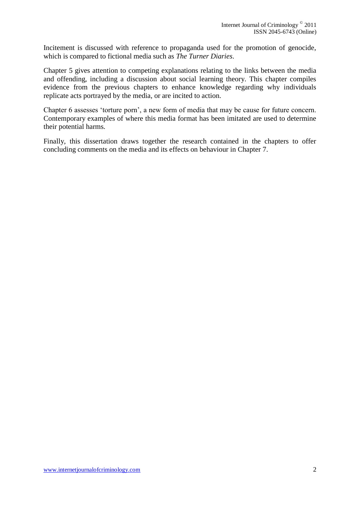Incitement is discussed with reference to propaganda used for the promotion of genocide, which is compared to fictional media such as *The Turner Diaries*.

Chapter 5 gives attention to competing explanations relating to the links between the media and offending, including a discussion about social learning theory. This chapter compiles evidence from the previous chapters to enhance knowledge regarding why individuals replicate acts portrayed by the media, or are incited to action.

Chapter 6 assesses 'torture porn', a new form of media that may be cause for future concern. Contemporary examples of where this media format has been imitated are used to determine their potential harms.

Finally, this dissertation draws together the research contained in the chapters to offer concluding comments on the media and its effects on behaviour in Chapter 7.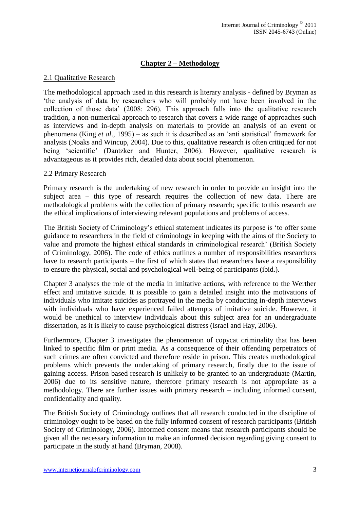# **Chapter 2 – Methodology**

# 2.1 Qualitative Research

The methodological approach used in this research is literary analysis - defined by Bryman as 'the analysis of data by researchers who will probably not have been involved in the collection of those data' (2008: 296). This approach falls into the qualitative research tradition, a non-numerical approach to research that covers a wide range of approaches such as interviews and in-depth analysis on materials to provide an analysis of an event or phenomena (King *et al*., 1995) – as such it is described as an 'anti statistical' framework for analysis (Noaks and Wincup, 2004). Due to this, qualitative research is often critiqued for not being 'scientific' (Dantzker and Hunter, 2006). However, qualitative research is advantageous as it provides rich, detailed data about social phenomenon.

# 2.2 Primary Research

Primary research is the undertaking of new research in order to provide an insight into the subject area – this type of research requires the collection of new data. There are methodological problems with the collection of primary research; specific to this research are the ethical implications of interviewing relevant populations and problems of access.

The British Society of Criminology's ethical statement indicates its purpose is 'to offer some guidance to researchers in the field of criminology in keeping with the aims of the Society to value and promote the highest ethical standards in criminological research' (British Society of Criminology, 2006). The code of ethics outlines a number of responsibilities researchers have to research participants – the first of which states that researchers have a responsibility to ensure the physical, social and psychological well-being of participants (ibid.).

Chapter 3 analyses the role of the media in imitative actions, with reference to the Werther effect and imitative suicide. It is possible to gain a detailed insight into the motivations of individuals who imitate suicides as portrayed in the media by conducting in-depth interviews with individuals who have experienced failed attempts of imitative suicide. However, it would be unethical to interview individuals about this subject area for an undergraduate dissertation, as it is likely to cause psychological distress (Israel and Hay, 2006).

Furthermore, Chapter 3 investigates the phenomenon of copycat criminality that has been linked to specific film or print media. As a consequence of their offending perpetrators of such crimes are often convicted and therefore reside in prison. This creates methodological problems which prevents the undertaking of primary research, firstly due to the issue of gaining access. Prison based research is unlikely to be granted to an undergraduate (Martin, 2006) due to its sensitive nature, therefore primary research is not appropriate as a methodology. There are further issues with primary research – including informed consent, confidentiality and quality.

The British Society of Criminology outlines that all research conducted in the discipline of criminology ought to be based on the fully informed consent of research participants (British Society of Criminology, 2006). Informed consent means that research participants should be given all the necessary information to make an informed decision regarding giving consent to participate in the study at hand (Bryman, 2008).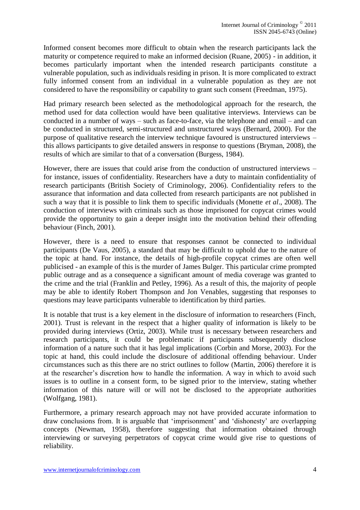Informed consent becomes more difficult to obtain when the research participants lack the maturity or competence required to make an informed decision (Ruane, 2005) - in addition, it becomes particularly important when the intended research participants constitute a vulnerable population, such as individuals residing in prison. It is more complicated to extract fully informed consent from an individual in a vulnerable population as they are not considered to have the responsibility or capability to grant such consent (Freedman, 1975).

Had primary research been selected as the methodological approach for the research, the method used for data collection would have been qualitative interviews. Interviews can be conducted in a number of ways – such as face-to-face, via the telephone and email – and can be conducted in structured, semi-structured and unstructured ways (Bernard, 2000). For the purpose of qualitative research the interview technique favoured is unstructured interviews – this allows participants to give detailed answers in response to questions (Bryman, 2008), the results of which are similar to that of a conversation (Burgess, 1984).

However, there are issues that could arise from the conduction of unstructured interviews – for instance, issues of confidentiality. Researchers have a duty to maintain confidentiality of research participants (British Society of Criminology, 2006). Confidentiality refers to the assurance that information and data collected from research participants are not published in such a way that it is possible to link them to specific individuals (Monette *et al*., 2008). The conduction of interviews with criminals such as those imprisoned for copycat crimes would provide the opportunity to gain a deeper insight into the motivation behind their offending behaviour (Finch, 2001).

However, there is a need to ensure that responses cannot be connected to individual participants (De Vaus, 2005), a standard that may be difficult to uphold due to the nature of the topic at hand. For instance, the details of high-profile copycat crimes are often well publicised - an example of this is the murder of James Bulger. This particular crime prompted public outrage and as a consequence a significant amount of media coverage was granted to the crime and the trial (Franklin and Petley, 1996). As a result of this, the majority of people may be able to identify Robert Thompson and Jon Venables, suggesting that responses to questions may leave participants vulnerable to identification by third parties.

It is notable that trust is a key element in the disclosure of information to researchers (Finch, 2001). Trust is relevant in the respect that a higher quality of information is likely to be provided during interviews (Ortiz, 2003). While trust is necessary between researchers and research participants, it could be problematic if participants subsequently disclose information of a nature such that it has legal implications (Corbin and Morse, 2003). For the topic at hand, this could include the disclosure of additional offending behaviour. Under circumstances such as this there are no strict outlines to follow (Martin, 2006) therefore it is at the researcher's discretion how to handle the information. A way in which to avoid such issues is to outline in a consent form, to be signed prior to the interview, stating whether information of this nature will or will not be disclosed to the appropriate authorities (Wolfgang, 1981).

Furthermore, a primary research approach may not have provided accurate information to draw conclusions from. It is arguable that 'imprisonment' and 'dishonesty' are overlapping concepts (Newman, 1958), therefore suggesting that information obtained through interviewing or surveying perpetrators of copycat crime would give rise to questions of reliability.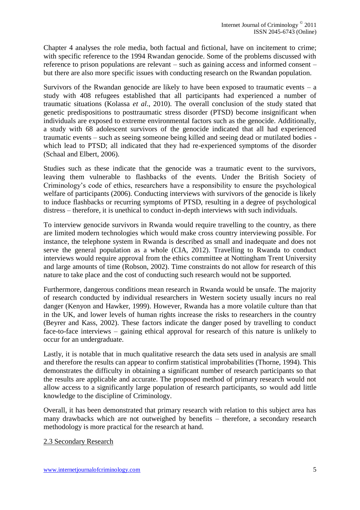Chapter 4 analyses the role media, both factual and fictional, have on incitement to crime; with specific reference to the 1994 Rwandan genocide. Some of the problems discussed with reference to prison populations are relevant – such as gaining access and informed consent – but there are also more specific issues with conducting research on the Rwandan population.

Survivors of the Rwandan genocide are likely to have been exposed to traumatic events  $-$  a study with 408 refugees established that all participants had experienced a number of traumatic situations (Kolassa *et al*., 2010). The overall conclusion of the study stated that genetic predispositions to posttraumatic stress disorder (PTSD) become insignificant when individuals are exposed to extreme environmental factors such as the genocide. Additionally, a study with 68 adolescent survivors of the genocide indicated that all had experienced traumatic events – such as seeing someone being killed and seeing dead or mutilated bodies which lead to PTSD; all indicated that they had re-experienced symptoms of the disorder (Schaal and Elbert, 2006).

Studies such as these indicate that the genocide was a traumatic event to the survivors, leaving them vulnerable to flashbacks of the events. Under the British Society of Criminology's code of ethics, researchers have a responsibility to ensure the psychological welfare of participants (2006). Conducting interviews with survivors of the genocide is likely to induce flashbacks or recurring symptoms of PTSD, resulting in a degree of psychological distress – therefore, it is unethical to conduct in-depth interviews with such individuals.

To interview genocide survivors in Rwanda would require travelling to the country, as there are limited modern technologies which would make cross country interviewing possible. For instance, the telephone system in Rwanda is described as small and inadequate and does not serve the general population as a whole (CIA, 2012). Travelling to Rwanda to conduct interviews would require approval from the ethics committee at Nottingham Trent University and large amounts of time (Robson, 2002). Time constraints do not allow for research of this nature to take place and the cost of conducting such research would not be supported.

Furthermore, dangerous conditions mean research in Rwanda would be unsafe. The majority of research conducted by individual researchers in Western society usually incurs no real danger (Kenyon and Hawker, 1999). However, Rwanda has a more volatile culture than that in the UK, and lower levels of human rights increase the risks to researchers in the country (Beyrer and Kass, 2002). These factors indicate the danger posed by travelling to conduct face-to-face interviews – gaining ethical approval for research of this nature is unlikely to occur for an undergraduate.

Lastly, it is notable that in much qualitative research the data sets used in analysis are small and therefore the results can appear to confirm statistical improbabilities (Thorne, 1994). This demonstrates the difficulty in obtaining a significant number of research participants so that the results are applicable and accurate. The proposed method of primary research would not allow access to a significantly large population of research participants, so would add little knowledge to the discipline of Criminology.

Overall, it has been demonstrated that primary research with relation to this subject area has many drawbacks which are not outweighed by benefits – therefore, a secondary research methodology is more practical for the research at hand.

2.3 Secondary Research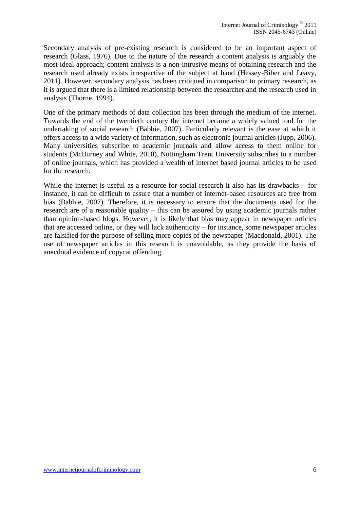Secondary analysis of pre-existing research is considered to be an important aspect of research (Glass, 1976). Due to the nature of the research a content analysis is arguably the most ideal approach; content analysis is a non-intrusive means of obtaining research and the research used already exists irrespective of the subject at hand (Hessey-Biber and Leavy, 2011). However, secondary analysis has been critiqued in comparison to primary research, as it is argued that there is a limited relationship between the researcher and the research used in analysis (Thorne, 1994).

One of the primary methods of data collection has been through the medium of the internet. Towards the end of the twentieth century the internet became a widely valued tool for the undertaking of social research (Babbie, 2007). Particularly relevant is the ease at which it offers access to a wide variety of information, such as electronic journal articles (Jupp, 2006). Many universities subscribe to academic journals and allow access to them online for students (McBurney and White, 2010). Nottingham Trent University subscribes to a number of online journals, which has provided a wealth of internet based journal articles to be used for the research.

While the internet is useful as a resource for social research it also has its drawbacks – for instance, it can be difficult to assure that a number of internet-based resources are free from bias (Babbie, 2007). Therefore, it is necessary to ensure that the documents used for the research are of a reasonable quality – this can be assured by using academic journals rather than opinion-based blogs. However, it is likely that bias may appear in newspaper articles that are accessed online, or they will lack authenticity – for instance, some newspaper articles are falsified for the purpose of selling more copies of the newspaper (Macdonald, 2001). The use of newspaper articles in this research is unavoidable, as they provide the basis of anecdotal evidence of copycat offending.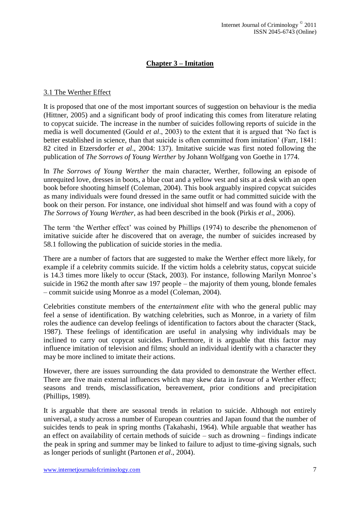# **Chapter 3 – Imitation**

# 3.1 The Werther Effect

It is proposed that one of the most important sources of suggestion on behaviour is the media (Hittner, 2005) and a significant body of proof indicating this comes from literature relating to copycat suicide. The increase in the number of suicides following reports of suicide in the media is well documented (Gould *et al*., 2003) to the extent that it is argued that 'No fact is better established in science, than that suicide is often committed from imitation' (Farr, 1841: 82 cited in Etzersdorfer *et al*., 2004: 137). Imitative suicide was first noted following the publication of *The Sorrows of Young Werther* by Johann Wolfgang von Goethe in 1774.

In *The Sorrows of Young Werther* the main character, Werther, following an episode of unrequited love, dresses in boots, a blue coat and a yellow vest and sits at a desk with an open book before shooting himself (Coleman, 2004). This book arguably inspired copycat suicides as many individuals were found dressed in the same outfit or had committed suicide with the book on their person. For instance, one individual shot himself and was found with a copy of *The Sorrows of Young Werther*, as had been described in the book (Pirkis *et al*., 2006).

The term 'the Werther effect' was coined by Phillips (1974) to describe the phenomenon of imitative suicide after he discovered that on average, the number of suicides increased by 58.1 following the publication of suicide stories in the media.

There are a number of factors that are suggested to make the Werther effect more likely, for example if a celebrity commits suicide. If the victim holds a celebrity status, copycat suicide is 14.3 times more likely to occur (Stack, 2003). For instance, following Marilyn Monroe's suicide in 1962 the month after saw 197 people – the majority of them young, blonde females – commit suicide using Monroe as a model (Coleman, 2004).

Celebrities constitute members of the *entertainment elite* with who the general public may feel a sense of identification. By watching celebrities, such as Monroe, in a variety of film roles the audience can develop feelings of identification to factors about the character (Stack, 1987). These feelings of identification are useful in analysing why individuals may be inclined to carry out copycat suicides. Furthermore, it is arguable that this factor may influence imitation of television and films; should an individual identify with a character they may be more inclined to imitate their actions.

However, there are issues surrounding the data provided to demonstrate the Werther effect. There are five main external influences which may skew data in favour of a Werther effect; seasons and trends, misclassification, bereavement, prior conditions and precipitation (Phillips, 1989).

It is arguable that there are seasonal trends in relation to suicide. Although not entirely universal, a study across a number of European countries and Japan found that the number of suicides tends to peak in spring months (Takahashi, 1964). While arguable that weather has an effect on availability of certain methods of suicide – such as drowning – findings indicate the peak in spring and summer may be linked to failure to adjust to time-giving signals, such as longer periods of sunlight (Partonen *et al*., 2004).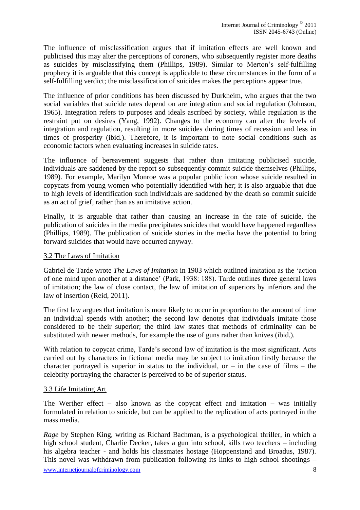The influence of misclassification argues that if imitation effects are well known and publicised this may alter the perceptions of coroners, who subsequently register more deaths as suicides by misclassifying them (Phillips, 1989). Similar to Merton's self-fulfilling prophecy it is arguable that this concept is applicable to these circumstances in the form of a self-fulfilling verdict; the misclassification of suicides makes the perceptions appear true.

The influence of prior conditions has been discussed by Durkheim, who argues that the two social variables that suicide rates depend on are integration and social regulation (Johnson, 1965). Integration refers to purposes and ideals ascribed by society, while regulation is the restraint put on desires (Yang, 1992). Changes to the economy can alter the levels of integration and regulation, resulting in more suicides during times of recession and less in times of prosperity (ibid.). Therefore, it is important to note social conditions such as economic factors when evaluating increases in suicide rates.

The influence of bereavement suggests that rather than imitating publicised suicide, individuals are saddened by the report so subsequently commit suicide themselves (Phillips, 1989). For example, Marilyn Monroe was a popular public icon whose suicide resulted in copycats from young women who potentially identified with her; it is also arguable that due to high levels of identification such individuals are saddened by the death so commit suicide as an act of grief, rather than as an imitative action.

Finally, it is arguable that rather than causing an increase in the rate of suicide, the publication of suicides in the media precipitates suicides that would have happened regardless (Phillips, 1989). The publication of suicide stories in the media have the potential to bring forward suicides that would have occurred anyway.

# 3.2 The Laws of Imitation

Gabriel de Tarde wrote *The Laws of Imitation* in 1903 which outlined imitation as the 'action of one mind upon another at a distance' (Park, 1938: 188). Tarde outlines three general laws of imitation; the law of close contact, the law of imitation of superiors by inferiors and the law of insertion (Reid, 2011).

The first law argues that imitation is more likely to occur in proportion to the amount of time an individual spends with another; the second law denotes that individuals imitate those considered to be their superior; the third law states that methods of criminality can be substituted with newer methods, for example the use of guns rather than knives (ibid.).

With relation to copycat crime, Tarde's second law of imitation is the most significant. Acts carried out by characters in fictional media may be subject to imitation firstly because the character portrayed is superior in status to the individual, or  $-$  in the case of films  $-$  the celebrity portraying the character is perceived to be of superior status.

# 3.3 Life Imitating Art

The Werther effect – also known as the copycat effect and imitation – was initially formulated in relation to suicide, but can be applied to the replication of acts portrayed in the mass media.

*Rage* by Stephen King, writing as Richard Bachman, is a psychological thriller, in which a high school student, Charlie Decker, takes a gun into school, kills two teachers – including his algebra teacher - and holds his classmates hostage (Hoppenstand and Broadus, 1987). This novel was withdrawn from publication following its links to high school shootings –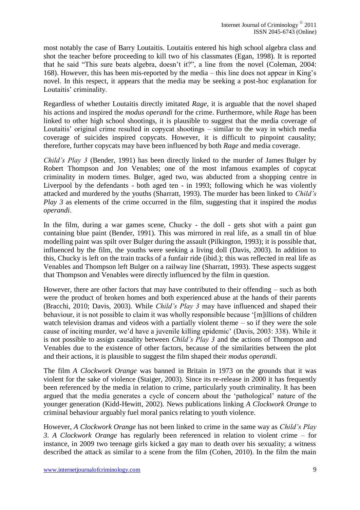most notably the case of Barry Loutaitis. Loutaitis entered his high school algebra class and shot the teacher before proceeding to kill two of his classmates (Egan, 1998). It is reported that he said "This sure beats algebra, doesn't it?", a line from the novel (Coleman, 2004: 168). However, this has been mis-reported by the media – this line does not appear in King's novel. In this respect, it appears that the media may be seeking a post-hoc explanation for Loutaitis' criminality.

Regardless of whether Loutaitis directly imitated *Rage*, it is arguable that the novel shaped his actions and inspired the *modus operandi* for the crime. Furthermore, while *Rage* has been linked to other high school shootings, it is plausible to suggest that the media coverage of Loutaitis' original crime resulted in copycat shootings – similar to the way in which media coverage of suicides inspired copycats. However, it is difficult to pinpoint causality; therefore, further copycats may have been influenced by both *Rage* and media coverage.

*Child's Play 3* (Bender, 1991) has been directly linked to the murder of James Bulger by Robert Thompson and Jon Venables; one of the most infamous examples of copycat criminality in modern times. Bulger, aged two, was abducted from a shopping centre in Liverpool by the defendants - both aged ten - in 1993; following which he was violently attacked and murdered by the youths (Sharratt, 1993). The murder has been linked to *Child's Play 3* as elements of the crime occurred in the film, suggesting that it inspired the *modus operandi*.

In the film, during a war games scene, Chucky - the doll - gets shot with a paint gun containing blue paint (Bender, 1991). This was mirrored in real life, as a small tin of blue modelling paint was spilt over Bulger during the assault (Pilkington, 1993); it is possible that, influenced by the film, the youths were seeking a living doll (Davis, 2003). In addition to this, Chucky is left on the train tracks of a funfair ride (ibid.); this was reflected in real life as Venables and Thompson left Bulger on a railway line (Sharratt, 1993). These aspects suggest that Thompson and Venables were directly influenced by the film in question.

However, there are other factors that may have contributed to their offending – such as both were the product of broken homes and both experienced abuse at the hands of their parents (Bracchi, 2010; Davis, 2003). While *Child's Play 3* may have influenced and shaped their behaviour, it is not possible to claim it was wholly responsible because '[m]illions of children watch television dramas and videos with a partially violent theme – so if they were the sole cause of inciting murder, we'd have a juvenile killing epidemic' (Davis, 2003: 338). While it is not possible to assign causality between *Child's Play 3* and the actions of Thompson and Venables due to the existence of other factors, because of the similarities between the plot and their actions, it is plausible to suggest the film shaped their *modus operandi*.

The film *A Clockwork Orange* was banned in Britain in 1973 on the grounds that it was violent for the sake of violence (Staiger, 2003). Since its re-release in 2000 it has frequently been referenced by the media in relation to crime, particularly youth criminality. It has been argued that the media generates a cycle of concern about the 'pathological' nature of the younger generation (Kidd-Hewitt, 2002). News publications linking *A Clockwork Orange* to criminal behaviour arguably fuel moral panics relating to youth violence.

However, *A Clockwork Orange* has not been linked to crime in the same way as *Child's Play 3*. *A Clockwork Orange* has regularly been referenced in relation to violent crime – for instance, in 2009 two teenage girls kicked a gay man to death over his sexuality; a witness described the attack as similar to a scene from the film (Cohen, 2010). In the film the main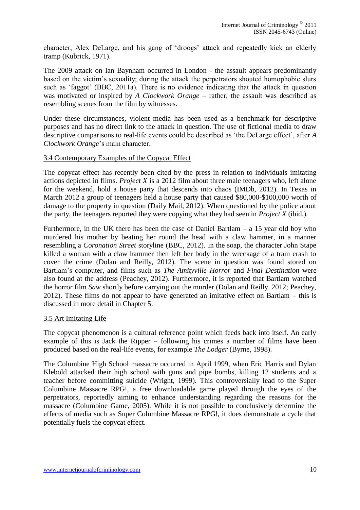character, Alex DeLarge, and his gang of 'droogs' attack and repeatedly kick an elderly tramp (Kubrick, 1971).

The 2009 attack on Ian Baynham occurred in London - the assault appears predominantly based on the victim's sexuality; during the attack the perpetrators shouted homophobic slurs such as 'faggot' (BBC, 2011a). There is no evidence indicating that the attack in question was motivated or inspired by *A Clockwork Orange* – rather, the assault was described as resembling scenes from the film by witnesses.

Under these circumstances, violent media has been used as a benchmark for descriptive purposes and has no direct link to the attack in question. The use of fictional media to draw descriptive comparisons to real-life events could be described as 'the DeLarge effect', after *A Clockwork Orange*'s main character.

# 3.4 Contemporary Examples of the Copycat Effect

The copycat effect has recently been cited by the press in relation to individuals imitating actions depicted in films. *Project X* is a 2012 film about three male teenagers who, left alone for the weekend, hold a house party that descends into chaos (IMDb, 2012). In Texas in March 2012 a group of teenagers held a house party that caused \$80,000-\$100,000 worth of damage to the property in question (Daily Mail, 2012). When questioned by the police about the party, the teenagers reported they were copying what they had seen in *Project X* (ibid.).

Furthermore, in the UK there has been the case of Daniel Bartlam  $- a 15$  year old boy who murdered his mother by beating her round the head with a claw hammer, in a manner resembling a *Coronation Street* storyline (BBC, 2012). In the soap, the character John Stape killed a woman with a claw hammer then left her body in the wreckage of a tram crash to cover the crime (Dolan and Reilly, 2012). The scene in question was found stored on Bartlam's computer, and films such as *The Amityville Horror* and *Final Destination* were also found at the address (Peachey, 2012). Furthermore, it is reported that Bartlam watched the horror film *Saw* shortly before carrying out the murder (Dolan and Reilly, 2012; Peachey, 2012). These films do not appear to have generated an imitative effect on Bartlam – this is discussed in more detail in Chapter 5.

# 3.5 Art Imitating Life

The copycat phenomenon is a cultural reference point which feeds back into itself. An early example of this is Jack the Ripper – following his crimes a number of films have been produced based on the real-life events, for example *The Lodger* (Byrne, 1998).

The Columbine High School massacre occurred in April 1999, when Eric Harris and Dylan Klebold attacked their high school with guns and pipe bombs, killing 12 students and a teacher before committing suicide (Wright, 1999). This controversially lead to the Super Columbine Massacre RPG!, a free downloadable game played through the eyes of the perpetrators, reportedly aiming to enhance understanding regarding the reasons for the massacre (Columbine Game, 2005). While it is not possible to conclusively determine the effects of media such as Super Columbine Massacre RPG!, it does demonstrate a cycle that potentially fuels the copycat effect.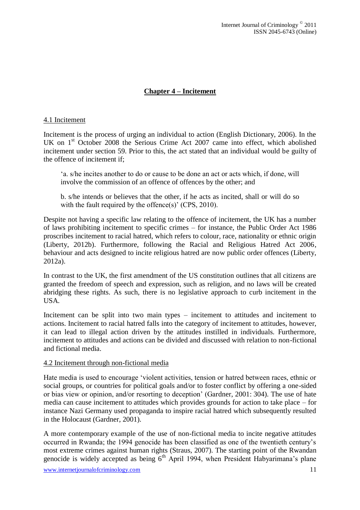# **Chapter 4 – Incitement**

# 4.1 Incitement

Incitement is the process of urging an individual to action (English Dictionary, 2006). In the UK on 1<sup>st</sup> October 2008 the Serious Crime Act 2007 came into effect, which abolished incitement under section 59. Prior to this, the act stated that an individual would be guilty of the offence of incitement if;

'a. s/he incites another to do or cause to be done an act or acts which, if done, will involve the commission of an offence of offences by the other; and

b. s/he intends or believes that the other, if he acts as incited, shall or will do so with the fault required by the offence(s)' (CPS, 2010).

Despite not having a specific law relating to the offence of incitement, the UK has a number of laws prohibiting incitement to specific crimes – for instance, the Public Order Act 1986 proscribes incitement to racial hatred, which refers to colour, race, nationality or ethnic origin (Liberty, 2012b). Furthermore, following the Racial and Religious Hatred Act 2006, behaviour and acts designed to incite religious hatred are now public order offences (Liberty, 2012a).

In contrast to the UK, the first amendment of the US constitution outlines that all citizens are granted the freedom of speech and expression, such as religion, and no laws will be created abridging these rights. As such, there is no legislative approach to curb incitement in the USA.

Incitement can be split into two main types – incitement to attitudes and incitement to actions. Incitement to racial hatred falls into the category of incitement to attitudes, however, it can lead to illegal action driven by the attitudes instilled in individuals. Furthermore, incitement to attitudes and actions can be divided and discussed with relation to non-fictional and fictional media.

#### 4.2 Incitement through non-fictional media

Hate media is used to encourage 'violent activities, tension or hatred between races, ethnic or social groups, or countries for political goals and/or to foster conflict by offering a one-sided or bias view or opinion, and/or resorting to deception' (Gardner, 2001: 304). The use of hate media can cause incitement to attitudes which provides grounds for action to take place – for instance Nazi Germany used propaganda to inspire racial hatred which subsequently resulted in the Holocaust (Gardner, 2001).

A more contemporary example of the use of non-fictional media to incite negative attitudes occurred in Rwanda; the 1994 genocide has been classified as one of the twentieth century's most extreme crimes against human rights (Straus, 2007). The starting point of the Rwandan genocide is widely accepted as being  $6<sup>th</sup>$  April 1994, when President Habyarimana's plane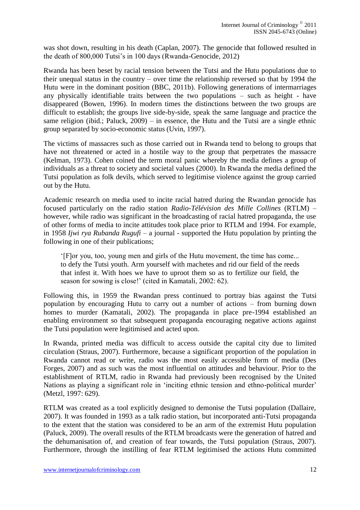was shot down, resulting in his death (Caplan, 2007). The genocide that followed resulted in the death of 800,000 Tutsi's in 100 days (Rwanda-Genocide, 2012)

Rwanda has been beset by racial tension between the Tutsi and the Hutu populations due to their unequal status in the country – over time the relationship reversed so that by 1994 the Hutu were in the dominant position (BBC, 2011b). Following generations of intermarriages any physically identifiable traits between the two populations – such as height - have disappeared (Bowen, 1996). In modern times the distinctions between the two groups are difficult to establish; the groups live side-by-side, speak the same language and practice the same religion (ibid.; Paluck, 2009) – in essence, the Hutu and the Tutsi are a single ethnic group separated by socio-economic status (Uvin, 1997).

The victims of massacres such as those carried out in Rwanda tend to belong to groups that have not threatened or acted in a hostile way to the group that perpetrates the massacre (Kelman, 1973). Cohen coined the term moral panic whereby the media defines a group of individuals as a threat to society and societal values (2000). In Rwanda the media defined the Tutsi population as folk devils, which served to legitimise violence against the group carried out by the Hutu.

Academic research on media used to incite racial hatred during the Rwandan genocide has focused particularly on the radio station *Radio-Télévision des Mille Collines* (RTLM) – however, while radio was significant in the broadcasting of racial hatred propaganda, the use of other forms of media to incite attitudes took place prior to RTLM and 1994. For example, in 1958 *Ijwi rya Rubanda Rugufi* – a journal - supported the Hutu population by printing the following in one of their publications;

'[F]or you, too, young men and girls of the Hutu movement, the time has come... to defy the Tutsi youth. Arm yourself with machetes and rid our field of the reeds that infest it. With hoes we have to uproot them so as to fertilize our field, the season for sowing is close!' (cited in Kamatali, 2002: 62).

Following this, in 1959 the Rwandan press continued to portray bias against the Tutsi population by encouraging Hutu to carry out a number of actions – from burning down homes to murder (Kamatali, 2002). The propaganda in place pre-1994 established an enabling environment so that subsequent propaganda encouraging negative actions against the Tutsi population were legitimised and acted upon.

In Rwanda, printed media was difficult to access outside the capital city due to limited circulation (Straus, 2007). Furthermore, because a significant proportion of the population in Rwanda cannot read or write, radio was the most easily accessible form of media (Des Forges, 2007) and as such was the most influential on attitudes and behaviour. Prior to the establishment of RTLM, radio in Rwanda had previously been recognised by the United Nations as playing a significant role in 'inciting ethnic tension and ethno-political murder' (Metzl, 1997: 629).

RTLM was created as a tool explicitly designed to demonise the Tutsi population (Dallaire, 2007). It was founded in 1993 as a talk radio station, but incorporated anti-Tutsi propaganda to the extent that the station was considered to be an arm of the extremist Hutu population (Paluck, 2009). The overall results of the RTLM broadcasts were the generation of hatred and the dehumanisation of, and creation of fear towards, the Tutsi population (Straus, 2007). Furthermore, through the instilling of fear RTLM legitimised the actions Hutu committed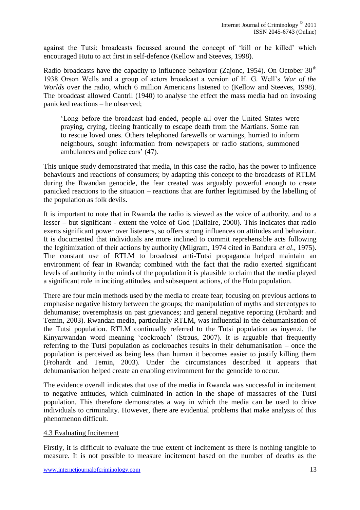against the Tutsi; broadcasts focussed around the concept of 'kill or be killed' which encouraged Hutu to act first in self-defence (Kellow and Steeves, 1998).

Radio broadcasts have the capacity to influence behaviour (Zajonc, 1954). On October  $30<sup>th</sup>$ 1938 Orson Wells and a group of actors broadcast a version of H. G. Well's *War of the Worlds* over the radio, which 6 million Americans listened to (Kellow and Steeves, 1998). The broadcast allowed Cantril (1940) to analyse the effect the mass media had on invoking panicked reactions – he observed;

'Long before the broadcast had ended, people all over the United States were praying, crying, fleeing frantically to escape death from the Martians. Some ran to rescue loved ones. Others telephoned farewells or warnings, hurried to inform neighbours, sought information from newspapers or radio stations, summoned ambulances and police cars' (47).

This unique study demonstrated that media, in this case the radio, has the power to influence behaviours and reactions of consumers; by adapting this concept to the broadcasts of RTLM during the Rwandan genocide, the fear created was arguably powerful enough to create panicked reactions to the situation – reactions that are further legitimised by the labelling of the population as folk devils.

It is important to note that in Rwanda the radio is viewed as the voice of authority, and to a lesser – but significant - extent the voice of God (Dallaire, 2000). This indicates that radio exerts significant power over listeners, so offers strong influences on attitudes and behaviour. It is documented that individuals are more inclined to commit reprehensible acts following the legitimization of their actions by authority (Milgram, 1974 cited in Bandura *et al*., 1975). The constant use of RTLM to broadcast anti-Tutsi propaganda helped maintain an environment of fear in Rwanda; combined with the fact that the radio exerted significant levels of authority in the minds of the population it is plausible to claim that the media played a significant role in inciting attitudes, and subsequent actions, of the Hutu population.

There are four main methods used by the media to create fear; focusing on previous actions to emphasise negative history between the groups; the manipulation of myths and stereotypes to dehumanise; overemphasis on past grievances; and general negative reporting (Frohardt and Temin, 2003). Rwandan media, particularly RTLM, was influential in the dehumanisation of the Tutsi population. RTLM continually referred to the Tutsi population as inyenzi, the Kinyarwandan word meaning 'cockroach' (Straus, 2007). It is arguable that frequently referring to the Tutsi population as cockroaches results in their dehumanisation – once the population is perceived as being less than human it becomes easier to justify killing them (Frohardt and Temin, 2003). Under the circumstances described it appears that dehumanisation helped create an enabling environment for the genocide to occur.

The evidence overall indicates that use of the media in Rwanda was successful in incitement to negative attitudes, which culminated in action in the shape of massacres of the Tutsi population. This therefore demonstrates a way in which the media can be used to drive individuals to criminality. However, there are evidential problems that make analysis of this phenomenon difficult.

# 4.3 Evaluating Incitement

Firstly, it is difficult to evaluate the true extent of incitement as there is nothing tangible to measure. It is not possible to measure incitement based on the number of deaths as the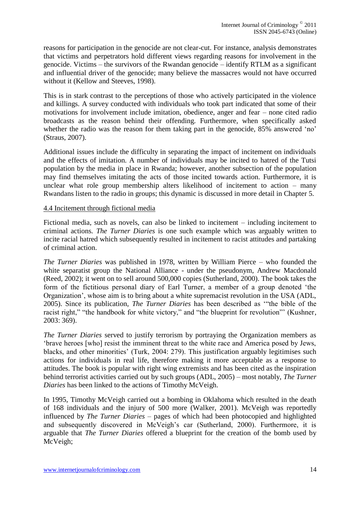reasons for participation in the genocide are not clear-cut. For instance, analysis demonstrates that victims and perpetrators hold different views regarding reasons for involvement in the genocide. Victims – the survivors of the Rwandan genocide – identify RTLM as a significant and influential driver of the genocide; many believe the massacres would not have occurred without it (Kellow and Steeves, 1998).

This is in stark contrast to the perceptions of those who actively participated in the violence and killings. A survey conducted with individuals who took part indicated that some of their motivations for involvement include imitation, obedience, anger and fear – none cited radio broadcasts as the reason behind their offending. Furthermore, when specifically asked whether the radio was the reason for them taking part in the genocide, 85% answered 'no' (Straus, 2007).

Additional issues include the difficulty in separating the impact of incitement on individuals and the effects of imitation. A number of individuals may be incited to hatred of the Tutsi population by the media in place in Rwanda; however, another subsection of the population may find themselves imitating the acts of those incited towards action. Furthermore, it is unclear what role group membership alters likelihood of incitement to action – many Rwandans listen to the radio in groups; this dynamic is discussed in more detail in Chapter 5.

#### 4.4 Incitement through fictional media

Fictional media, such as novels, can also be linked to incitement – including incitement to criminal actions. *The Turner Diaries* is one such example which was arguably written to incite racial hatred which subsequently resulted in incitement to racist attitudes and partaking of criminal action.

*The Turner Diaries* was published in 1978, written by William Pierce – who founded the white separatist group the National Alliance - under the pseudonym, Andrew Macdonald (Reed, 2002); it went on to sell around 500,000 copies (Sutherland, 2000). The book takes the form of the fictitious personal diary of Earl Turner, a member of a group denoted 'the Organization', whose aim is to bring about a white supremacist revolution in the USA (ADL, 2005). Since its publication, *The Turner Diaries* has been described as '"the bible of the racist right," "the handbook for white victory," and "the blueprint for revolution"' (Kushner, 2003: 369).

*The Turner Diaries* served to justify terrorism by portraying the Organization members as 'brave heroes [who] resist the imminent threat to the white race and America posed by Jews, blacks, and other minorities' (Turk, 2004: 279). This justification arguably legitimises such actions for individuals in real life, therefore making it more acceptable as a response to attitudes. The book is popular with right wing extremists and has been cited as the inspiration behind terrorist activities carried out by such groups (ADL, 2005) – most notably, *The Turner Diaries* has been linked to the actions of Timothy McVeigh.

In 1995, Timothy McVeigh carried out a bombing in Oklahoma which resulted in the death of 168 individuals and the injury of 500 more (Walker, 2001). McVeigh was reportedly influenced by *The Turner Diaries* – pages of which had been photocopied and highlighted and subsequently discovered in McVeigh's car (Sutherland, 2000). Furthermore, it is arguable that *The Turner Diaries* offered a blueprint for the creation of the bomb used by McVeigh;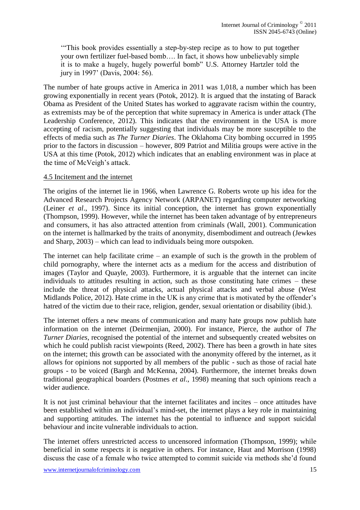'"This book provides essentially a step-by-step recipe as to how to put together your own fertilizer fuel-based bomb…. In fact, it shows how unbelievably simple it is to make a hugely, hugely powerful bomb" U.S. Attorney Hartzler told the jury in 1997' (Davis, 2004: 56).

The number of hate groups active in America in 2011 was 1,018, a number which has been growing exponentially in recent years (Potok, 2012). It is argued that the instating of Barack Obama as President of the United States has worked to aggravate racism within the country, as extremists may be of the perception that white supremacy in America is under attack (The Leadership Conference, 2012). This indicates that the environment in the USA is more accepting of racism, potentially suggesting that individuals may be more susceptible to the effects of media such as *The Turner Diaries*. The Oklahoma City bombing occurred in 1995 prior to the factors in discussion – however, 809 Patriot and Militia groups were active in the USA at this time (Potok, 2012) which indicates that an enabling environment was in place at the time of McVeigh's attack.

#### 4.5 Incitement and the internet

The origins of the internet lie in 1966, when Lawrence G. Roberts wrote up his idea for the Advanced Research Projects Agency Network (ARPANET) regarding computer networking (Leiner *et al*., 1997). Since its initial conception, the internet has grown exponentially (Thompson, 1999). However, while the internet has been taken advantage of by entrepreneurs and consumers, it has also attracted attention from criminals (Wall, 2001). Communication on the internet is hallmarked by the traits of anonymity, disembodiment and outreach (Jewkes and Sharp, 2003) – which can lead to individuals being more outspoken.

The internet can help facilitate crime – an example of such is the growth in the problem of child pornography, where the internet acts as a medium for the access and distribution of images (Taylor and Quayle, 2003). Furthermore, it is arguable that the internet can incite individuals to attitudes resulting in action, such as those constituting hate crimes – these include the threat of physical attacks, actual physical attacks and verbal abuse (West Midlands Police, 2012). Hate crime in the UK is any crime that is motivated by the offender's hatred of the victim due to their race, religion, gender, sexual orientation or disability (ibid.).

The internet offers a new means of communication and many hate groups now publish hate information on the internet (Deirmenjian, 2000). For instance, Pierce, the author of *The Turner Diaries*, recognised the potential of the internet and subsequently created websites on which he could publish racist viewpoints (Reed, 2002). There has been a growth in hate sites on the internet; this growth can be associated with the anonymity offered by the internet, as it allows for opinions not supported by all members of the public - such as those of racial hate groups - to be voiced (Bargh and McKenna, 2004). Furthermore, the internet breaks down traditional geographical boarders (Postmes *et al*., 1998) meaning that such opinions reach a wider audience.

It is not just criminal behaviour that the internet facilitates and incites – once attitudes have been established within an individual's mind-set, the internet plays a key role in maintaining and supporting attitudes. The internet has the potential to influence and support suicidal behaviour and incite vulnerable individuals to action.

The internet offers unrestricted access to uncensored information (Thompson, 1999); while beneficial in some respects it is negative in others. For instance, Haut and Morrison (1998) discuss the case of a female who twice attempted to commit suicide via methods she'd found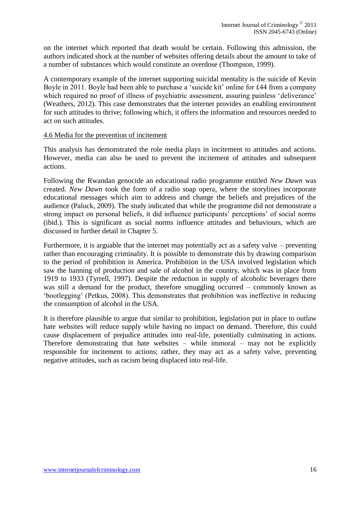on the internet which reported that death would be certain. Following this admission, the authors indicated shock at the number of websites offering details about the amount to take of a number of substances which would constitute an overdose (Thompson, 1999).

A contemporary example of the internet supporting suicidal mentality is the suicide of Kevin Boyle in 2011. Boyle had been able to purchase a 'suicide kit' online for £44 from a company which required no proof of illness of psychiatric assessment, assuring painless 'deliverance' (Weathers, 2012). This case demonstrates that the internet provides an enabling environment for such attitudes to thrive; following which, it offers the information and resources needed to act on such attitudes.

#### 4.6 Media for the prevention of incitement

This analysis has demonstrated the role media plays in incitement to attitudes and actions. However, media can also be used to prevent the incitement of attitudes and subsequent actions.

Following the Rwandan genocide an educational radio programme entitled *New Dawn* was created. *New Dawn* took the form of a radio soap opera, where the storylines incorporate educational messages which aim to address and change the beliefs and prejudices of the audience (Paluck, 2009). The study indicated that while the programme did not demonstrate a strong impact on personal beliefs, it did influence participants' perceptions' of social norms (ibid.). This is significant as social norms influence attitudes and behaviours, which are discussed in further detail in Chapter 5.

Furthermore, it is arguable that the internet may potentially act as a safety valve – preventing rather than encouraging criminality. It is possible to demonstrate this by drawing comparison to the period of prohibition in America. Prohibition in the USA involved legislation which saw the banning of production and sale of alcohol in the country, which was in place from 1919 to 1933 (Tyrrell, 1997). Despite the reduction in supply of alcoholic beverages there was still a demand for the product, therefore smuggling occurred – commonly known as 'bootlegging' (Petkus, 2008). This demonstrates that prohibition was ineffective in reducing the consumption of alcohol in the USA.

It is therefore plausible to argue that similar to prohibition, legislation put in place to outlaw hate websites will reduce supply while having no impact on demand. Therefore, this could cause displacement of prejudice attitudes into real-life, potentially culminating in actions. Therefore demonstrating that hate websites – while immoral – may not be explicitly responsible for incitement to actions; rather, they may act as a safety valve, preventing negative attitudes, such as racism being displaced into real-life.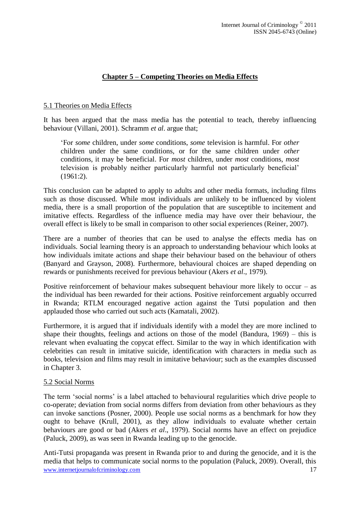# **Chapter 5 – Competing Theories on Media Effects**

# 5.1 Theories on Media Effects

It has been argued that the mass media has the potential to teach, thereby influencing behaviour (Villani, 2001). Schramm *et al*. argue that;

'For *some* children, under *some* conditions, *some* television is harmful. For *other*  children under the same conditions, or for the same children under *other* conditions, it may be beneficial. For *most* children, under *most* conditions, *most* television is probably neither particularly harmful not particularly beneficial' (1961:2).

This conclusion can be adapted to apply to adults and other media formats, including films such as those discussed. While most individuals are unlikely to be influenced by violent media, there is a small proportion of the population that are susceptible to incitement and imitative effects. Regardless of the influence media may have over their behaviour, the overall effect is likely to be small in comparison to other social experiences (Reiner, 2007).

There are a number of theories that can be used to analyse the effects media has on individuals. Social learning theory is an approach to understanding behaviour which looks at how individuals imitate actions and shape their behaviour based on the behaviour of others (Banyard and Grayson, 2008). Furthermore, behavioural choices are shaped depending on rewards or punishments received for previous behaviour (Akers *et al*., 1979).

Positive reinforcement of behaviour makes subsequent behaviour more likely to occur – as the individual has been rewarded for their actions. Positive reinforcement arguably occurred in Rwanda; RTLM encouraged negative action against the Tutsi population and then applauded those who carried out such acts (Kamatali, 2002).

Furthermore, it is argued that if individuals identify with a model they are more inclined to shape their thoughts, feelings and actions on those of the model (Bandura, 1969) – this is relevant when evaluating the copycat effect. Similar to the way in which identification with celebrities can result in imitative suicide, identification with characters in media such as books, television and films may result in imitative behaviour; such as the examples discussed in Chapter 3.

# 5.2 Social Norms

The term 'social norms' is a label attached to behavioural regularities which drive people to co-operate; deviation from social norms differs from deviation from other behaviours as they can invoke sanctions (Posner, 2000). People use social norms as a benchmark for how they ought to behave (Krull, 2001), as they allow individuals to evaluate whether certain behaviours are good or bad (Akers *et al*., 1979). Social norms have an effect on prejudice (Paluck, 2009), as was seen in Rwanda leading up to the genocide.

www.internetiournalofcriminology.com 17 Anti-Tutsi propaganda was present in Rwanda prior to and during the genocide, and it is the media that helps to communicate social norms to the population (Paluck, 2009). Overall, this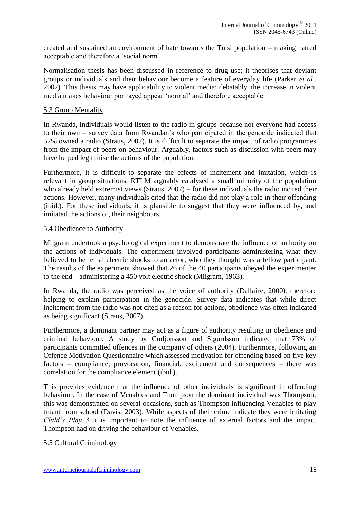created and sustained an environment of hate towards the Tutsi population – making hatred acceptable and therefore a 'social norm'.

Normalisation thesis has been discussed in reference to drug use; it theorises that deviant groups or individuals and their behaviour become a feature of everyday life (Parker *et al*., 2002). This thesis may have applicability to violent media; debatably, the increase in violent media makes behaviour portrayed appear 'normal' and therefore acceptable.

# 5.3 Group Mentality

In Rwanda, individuals would listen to the radio in groups because not everyone had access to their own – survey data from Rwandan's who participated in the genocide indicated that 52% owned a radio (Straus, 2007). It is difficult to separate the impact of radio programmes from the impact of peers on behaviour. Arguably, factors such as discussion with peers may have helped legitimise the actions of the population.

Furthermore, it is difficult to separate the effects of incitement and imitation, which is relevant in group situations. RTLM arguably catalysed a small minority of the population who already held extremist views (Straus, 2007) – for these individuals the radio incited their actions. However, many individuals cited that the radio did not play a role in their offending (ibid.). For these individuals, it is plausible to suggest that they were influenced by, and imitated the actions of, their neighbours.

#### 5.4 Obedience to Authority

Milgram undertook a psychological experiment to demonstrate the influence of authority on the actions of individuals. The experiment involved participants administering what they believed to be lethal electric shocks to an actor, who they thought was a fellow participant. The results of the experiment showed that 26 of the 40 participants obeyed the experimenter to the end – administering a 450 volt electric shock (Milgram, 1963).

In Rwanda, the radio was perceived as the voice of authority (Dallaire, 2000), therefore helping to explain participation in the genocide. Survey data indicates that while direct incitement from the radio was not cited as a reason for actions, obedience was often indicated as being significant (Straus, 2007).

Furthermore, a dominant partner may act as a figure of authority resulting in obedience and criminal behaviour. A study by Gudjonsson and Sigurdsson indicated that 73% of participants committed offences in the company of others (2004). Furthermore, following an Offence Motivation Questionnaire which assessed motivation for offending based on five key factors – compliance, provocation, financial, excitement and consequences – there was correlation for the compliance element (ibid.).

This provides evidence that the influence of other individuals is significant in offending behaviour. In the case of Venables and Thompson the dominant individual was Thompson; this was demonstrated on several occasions, such as Thompson influencing Venables to play truant from school (Davis, 2003). While aspects of their crime indicate they were imitating *Child's Play 3* it is important to note the influence of external factors and the impact Thompson had on driving the behaviour of Venables.

5.5 Cultural Criminology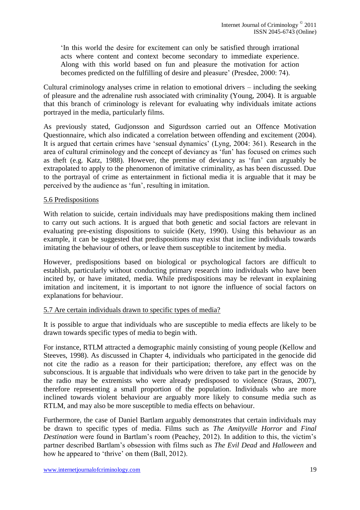'In this world the desire for excitement can only be satisfied through irrational acts where content and context become secondary to immediate experience. Along with this world based on fun and pleasure the motivation for action becomes predicted on the fulfilling of desire and pleasure' (Presdee, 2000: 74).

Cultural criminology analyses crime in relation to emotional drivers – including the seeking of pleasure and the adrenaline rush associated with criminality (Young, 2004). It is arguable that this branch of criminology is relevant for evaluating why individuals imitate actions portrayed in the media, particularly films.

As previously stated, Gudjonsson and Sigurdsson carried out an Offence Motivation Questionnaire, which also indicated a correlation between offending and excitement (2004). It is argued that certain crimes have 'sensual dynamics' (Lyng, 2004: 361). Research in the area of cultural criminology and the concept of deviancy as 'fun' has focused on crimes such as theft (e.g. Katz, 1988). However, the premise of deviancy as 'fun' can arguably be extrapolated to apply to the phenomenon of imitative criminality, as has been discussed. Due to the portrayal of crime as entertainment in fictional media it is arguable that it may be perceived by the audience as 'fun', resulting in imitation.

# 5.6 Predispositions

With relation to suicide, certain individuals may have predispositions making them inclined to carry out such actions. It is argued that both genetic and social factors are relevant in evaluating pre-existing dispositions to suicide (Kety, 1990). Using this behaviour as an example, it can be suggested that predispositions may exist that incline individuals towards imitating the behaviour of others, or leave them susceptible to incitement by media.

However, predispositions based on biological or psychological factors are difficult to establish, particularly without conducting primary research into individuals who have been incited by, or have imitated, media. While predispositions may be relevant in explaining imitation and incitement, it is important to not ignore the influence of social factors on explanations for behaviour.

# 5.7 Are certain individuals drawn to specific types of media?

It is possible to argue that individuals who are susceptible to media effects are likely to be drawn towards specific types of media to begin with.

For instance, RTLM attracted a demographic mainly consisting of young people (Kellow and Steeves, 1998). As discussed in Chapter 4, individuals who participated in the genocide did not cite the radio as a reason for their participation; therefore, any effect was on the subconscious. It is arguable that individuals who were driven to take part in the genocide by the radio may be extremists who were already predisposed to violence (Straus, 2007), therefore representing a small proportion of the population. Individuals who are more inclined towards violent behaviour are arguably more likely to consume media such as RTLM, and may also be more susceptible to media effects on behaviour.

Furthermore, the case of Daniel Bartlam arguably demonstrates that certain individuals may be drawn to specific types of media. Films such as *The Amityville Horror* and *Final Destination* were found in Bartlam's room (Peachey, 2012). In addition to this, the victim's partner described Bartlam's obsession with films such as *The Evil Dead* and *Halloween* and how he appeared to 'thrive' on them (Ball, 2012).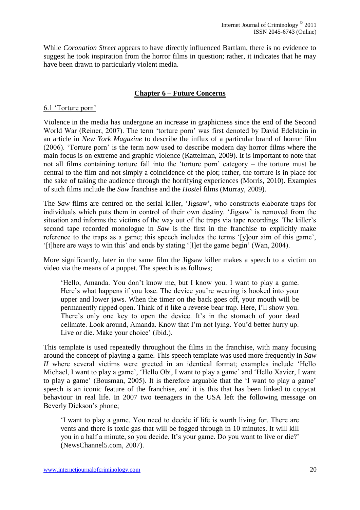While *Coronation Street* appears to have directly influenced Bartlam, there is no evidence to suggest he took inspiration from the horror films in question; rather, it indicates that he may have been drawn to particularly violent media.

# **Chapter 6 – Future Concerns**

#### 6.1 'Torture porn'

Violence in the media has undergone an increase in graphicness since the end of the Second World War (Reiner, 2007). The term 'torture porn' was first denoted by David Edelstein in an article in *New York Magazine* to describe the influx of a particular brand of horror film (2006). 'Torture porn' is the term now used to describe modern day horror films where the main focus is on extreme and graphic violence (Kattelman, 2009). It is important to note that not all films containing torture fall into the 'torture porn' category – the torture must be central to the film and not simply a coincidence of the plot; rather, the torture is in place for the sake of taking the audience through the horrifying experiences (Morris, 2010). Examples of such films include the *Saw* franchise and the *Hostel* films (Murray, 2009).

The *Saw* films are centred on the serial killer, 'Jigsaw', who constructs elaborate traps for individuals which puts them in control of their own destiny. 'Jigsaw' is removed from the situation and informs the victims of the way out of the traps via tape recordings. The killer's second tape recorded monologue in *Saw* is the first in the franchise to explicitly make reference to the traps as a game; this speech includes the terms '[y]our aim of this game', '[t]here are ways to win this' and ends by stating '[l]et the game begin' (Wan, 2004).

More significantly, later in the same film the Jigsaw killer makes a speech to a victim on video via the means of a puppet. The speech is as follows;

'Hello, Amanda. You don't know me, but I know you. I want to play a game. Here's what happens if you lose. The device you're wearing is hooked into your upper and lower jaws. When the timer on the back goes off, your mouth will be permanently ripped open. Think of it like a reverse bear trap. Here, I'll show you. There's only one key to open the device. It's in the stomach of your dead cellmate. Look around, Amanda. Know that I'm not lying. You'd better hurry up. Live or die. Make your choice' (ibid.).

This template is used repeatedly throughout the films in the franchise, with many focusing around the concept of playing a game. This speech template was used more frequently in *Saw II* where several victims were greeted in an identical format; examples include 'Hello Michael, I want to play a game', 'Hello Obi, I want to play a game' and 'Hello Xavier, I want to play a game' (Bousman, 2005). It is therefore arguable that the 'I want to play a game' speech is an iconic feature of the franchise, and it is this that has been linked to copycat behaviour in real life. In 2007 two teenagers in the USA left the following message on Beverly Dickson's phone;

'I want to play a game. You need to decide if life is worth living for. There are vents and there is toxic gas that will be fogged through in 10 minutes. It will kill you in a half a minute, so you decide. It's your game. Do you want to live or die?' (NewsChannel5.com, 2007).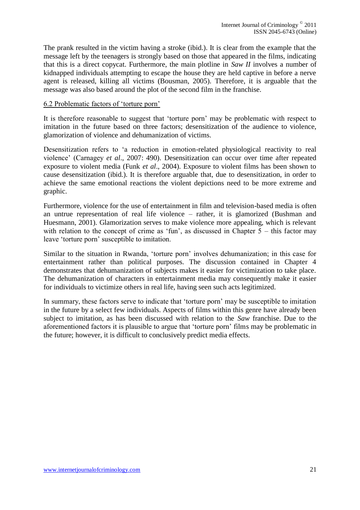The prank resulted in the victim having a stroke (ibid.). It is clear from the example that the message left by the teenagers is strongly based on those that appeared in the films, indicating that this is a direct copycat. Furthermore, the main plotline in *Saw II* involves a number of kidnapped individuals attempting to escape the house they are held captive in before a nerve agent is released, killing all victims (Bousman, 2005). Therefore, it is arguable that the message was also based around the plot of the second film in the franchise.

# 6.2 Problematic factors of 'torture porn'

It is therefore reasonable to suggest that 'torture porn' may be problematic with respect to imitation in the future based on three factors; desensitization of the audience to violence, glamorization of violence and dehumanization of victims.

Desensitization refers to 'a reduction in emotion-related physiological reactivity to real violence' (Carnagey *et al*., 2007: 490). Desensitization can occur over time after repeated exposure to violent media (Funk *et al*., 2004). Exposure to violent films has been shown to cause desensitization (ibid.). It is therefore arguable that, due to desensitization, in order to achieve the same emotional reactions the violent depictions need to be more extreme and graphic.

Furthermore, violence for the use of entertainment in film and television-based media is often an untrue representation of real life violence – rather, it is glamorized (Bushman and Huesmann, 2001). Glamorization serves to make violence more appealing, which is relevant with relation to the concept of crime as 'fun', as discussed in Chapter 5 – this factor may leave 'torture porn' susceptible to imitation.

Similar to the situation in Rwanda, 'torture porn' involves dehumanization; in this case for entertainment rather than political purposes. The discussion contained in Chapter 4 demonstrates that dehumanization of subjects makes it easier for victimization to take place. The dehumanization of characters in entertainment media may consequently make it easier for individuals to victimize others in real life, having seen such acts legitimized.

In summary, these factors serve to indicate that 'torture porn' may be susceptible to imitation in the future by a select few individuals. Aspects of films within this genre have already been subject to imitation, as has been discussed with relation to the *Saw* franchise. Due to the aforementioned factors it is plausible to argue that 'torture porn' films may be problematic in the future; however, it is difficult to conclusively predict media effects.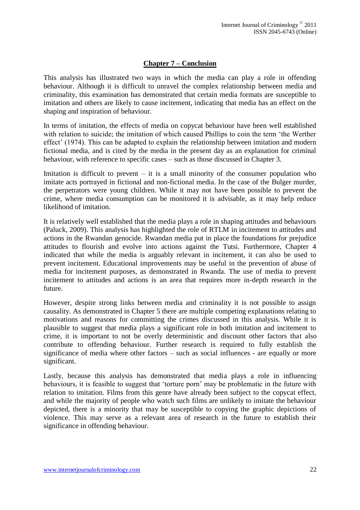# **Chapter 7 – Conclusion**

This analysis has illustrated two ways in which the media can play a role in offending behaviour. Although it is difficult to unravel the complex relationship between media and criminality, this examination has demonstrated that certain media formats are susceptible to imitation and others are likely to cause incitement, indicating that media has an effect on the shaping and inspiration of behaviour.

In terms of imitation, the effects of media on copycat behaviour have been well established with relation to suicide; the imitation of which caused Phillips to coin the term 'the Werther effect' (1974). This can be adapted to explain the relationship between imitation and modern fictional media, and is cited by the media in the present day as an explanation for criminal behaviour, with reference to specific cases – such as those discussed in Chapter 3.

Imitation is difficult to prevent  $-$  it is a small minority of the consumer population who imitate acts portrayed in fictional and non-fictional media. In the case of the Bulger murder, the perpetrators were young children. While it may not have been possible to prevent the crime, where media consumption can be monitored it is advisable, as it may help reduce likelihood of imitation.

It is relatively well established that the media plays a role in shaping attitudes and behaviours (Paluck, 2009). This analysis has highlighted the role of RTLM in incitement to attitudes and actions in the Rwandan genocide. Rwandan media put in place the foundations for prejudice attitudes to flourish and evolve into actions against the Tutsi. Furthermore, Chapter 4 indicated that while the media is arguably relevant in incitement, it can also be used to prevent incitement. Educational improvements may be useful in the prevention of abuse of media for incitement purposes, as demonstrated in Rwanda. The use of media to prevent incitement to attitudes and actions is an area that requires more in-depth research in the future.

However, despite strong links between media and criminality it is not possible to assign causality. As demonstrated in Chapter 5 there are multiple competing explanations relating to motivations and reasons for committing the crimes discussed in this analysis. While it is plausible to suggest that media plays a significant role in both imitation and incitement to crime, it is important to not be overly deterministic and discount other factors that also contribute to offending behaviour. Further research is required to fully establish the significance of media where other factors – such as social influences - are equally or more significant.

Lastly, because this analysis has demonstrated that media plays a role in influencing behaviours, it is feasible to suggest that 'torture porn' may be problematic in the future with relation to imitation. Films from this genre have already been subject to the copycat effect, and while the majority of people who watch such films are unlikely to imitate the behaviour depicted, there is a minority that may be susceptible to copying the graphic depictions of violence. This may serve as a relevant area of research in the future to establish their significance in offending behaviour.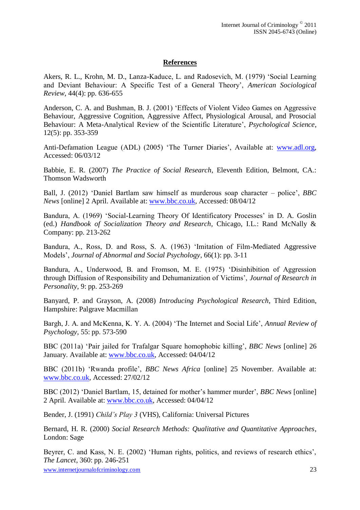# **References**

Akers, R. L., Krohn, M. D., Lanza-Kaduce, L. and Radosevich, M. (1979) 'Social Learning and Deviant Behaviour: A Specific Test of a General Theory', *American Sociological Review*, 44(4): pp. 636-655

Anderson, C. A. and Bushman, B. J. (2001) 'Effects of Violent Video Games on Aggressive Behaviour, Aggressive Cognition, Aggressive Affect, Physiological Arousal, and Prosocial Behaviour: A Meta-Analytical Review of the Scientific Literature', *Psychological Science*, 12(5): pp. 353-359

Anti-Defamation League (ADL) (2005) 'The Turner Diaries', Available at: [www.adl.org,](http://www.adl.org/) Accessed: 06/03/12

Babbie, E. R. (2007) *The Practice of Social Research*, Eleventh Edition, Belmont, CA.: Thomson Wadsworth

Ball, J. (2012) 'Daniel Bartlam saw himself as murderous soap character – police', *BBC News* [online] 2 April. Available at: [www.bbc.co.uk,](http://www.bbc.co.uk/) Accessed: 08/04/12

Bandura, A. (1969) 'Social-Learning Theory Of Identificatory Processes' in D. A. Goslin (ed.) *Handbook of Socialization Theory and Research*, Chicago, I.L.: Rand McNally & Company: pp. 213-262

Bandura, A., Ross, D. and Ross, S. A. (1963) 'Imitation of Film-Mediated Aggressive Models', *Journal of Abnormal and Social Psychology*, 66(1): pp. 3-11

Bandura, A., Underwood, B. and Fromson, M. E. (1975) 'Disinhibition of Aggression through Diffusion of Responsibility and Dehumanization of Victims', *Journal of Research in Personality*, 9: pp. 253-269

Banyard, P. and Grayson, A. (2008) *Introducing Psychological Research*, Third Edition, Hampshire: Palgrave Macmillan

Bargh, J. A. and McKenna, K. Y. A. (2004) 'The Internet and Social Life', *Annual Review of Psychology*, 55: pp. 573-590

BBC (2011a) 'Pair jailed for Trafalgar Square homophobic killing', *BBC News* [online] 26 January. Available at: [www.bbc.co.uk,](http://www.bbc.co.uk/) Accessed: 04/04/12

BBC (2011b) 'Rwanda profile', *BBC News Africa* [online] 25 November. Available at: [www.bbc.co.uk,](http://www.bbc.co.uk/) Accessed: 27/02/12

BBC (2012) 'Daniel Bartlam, 15, detained for mother's hammer murder', *BBC News* [online] 2 April. Available at: [www.bbc.co.uk,](http://www.bbc.co.uk/) Accessed: 04/04/12

Bender, J. (1991) *Child's Play 3* (VHS), California: Universal Pictures

Bernard, H. R. (2000) *Social Research Methods: Qualitative and Quantitative Approaches*, London: Sage

Beyrer, C. and Kass, N. E. (2002) 'Human rights, politics, and reviews of research ethics', *The Lancet*, 360: pp. 246-251

www.internetjournalofcriminology.com 23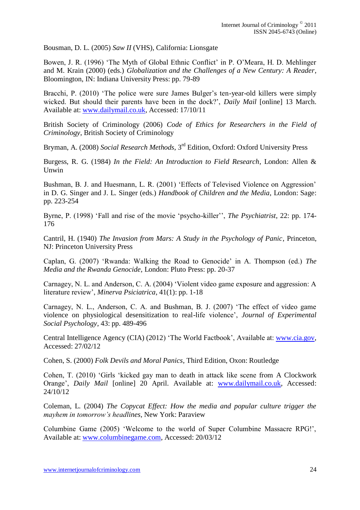Bousman, D. L. (2005) *Saw II* (VHS), California: Lionsgate

Bowen, J. R. (1996) 'The Myth of Global Ethnic Conflict' in P. O'Meara, H. D. Mehlinger and M. Krain (2000) (eds.) *Globalization and the Challenges of a New Century: A Reader*, Bloomington, IN: Indiana University Press: pp. 79-89

Bracchi, P. (2010) 'The police were sure James Bulger's ten-year-old killers were simply wicked. But should their parents have been in the dock?', *Daily Mail* [online] 13 March. Available at: [www.dailymail.co.uk,](http://www.dailymail.co.uk/) Accessed: 17/10/11

British Society of Criminology (2006) *Code of Ethics for Researchers in the Field of Criminology*, British Society of Criminology

Bryman, A. (2008) *Social Research Methods*, 3rd Edition, Oxford: Oxford University Press

Burgess, R. G. (1984) *In the Field: An Introduction to Field Research*, London: Allen & Unwin

Bushman, B. J. and Huesmann, L. R. (2001) 'Effects of Televised Violence on Aggression' in D. G. Singer and J. L. Singer (eds.) *Handbook of Children and the Media*, London: Sage: pp. 223-254

Byrne, P. (1998) 'Fall and rise of the movie 'psycho-killer'', *The Psychiatrist*, 22: pp. 174- 176

Cantril, H. (1940) *The Invasion from Mars: A Study in the Psychology of Panic*, Princeton, NJ: Princeton University Press

Caplan, G. (2007) 'Rwanda: Walking the Road to Genocide' in A. Thompson (ed.) *The Media and the Rwanda Genocide*, London: Pluto Press: pp. 20-37

Carnagey, N. L. and Anderson, C. A. (2004) 'Violent video game exposure and aggression: A literature review', *Minerva Psiciatrica*, 41(1): pp. 1-18

Carnagey, N. L., Anderson, C. A. and Bushman, B. J. (2007) 'The effect of video game violence on physiological desensitization to real-life violence', *Journal of Experimental Social Psychology*, 43: pp. 489-496

Central Intelligence Agency (CIA) (2012) 'The World Factbook', Available at: [www.cia.gov,](http://www.cia.gov/) Accessed: 27/02/12

Cohen, S. (2000) *Folk Devils and Moral Panics*, Third Edition, Oxon: Routledge

Cohen, T. (2010) 'Girls 'kicked gay man to death in attack like scene from A Clockwork Orange', *Daily Mail* [online] 20 April. Available at: [www.dailymail.co.uk,](http://www.dailymail.co.uk/) Accessed: 24/10/12

Coleman, L. (2004) *The Copycat Effect: How the media and popular culture trigger the mayhem in tomorrow's headlines*, New York: Paraview

Columbine Game (2005) 'Welcome to the world of Super Columbine Massacre RPG!', Available at: [www.columbinegame.com,](http://www.columbinegame.com/) Accessed: 20/03/12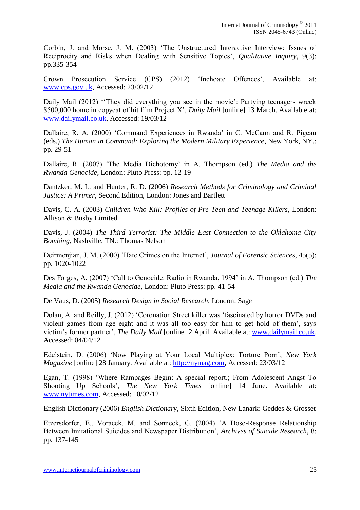Corbin, J. and Morse, J. M. (2003) 'The Unstructured Interactive Interview: Issues of Reciprocity and Risks when Dealing with Sensitive Topics', *Qualitative Inquiry*, 9(3): pp.335-354

Crown Prosecution Service (CPS) (2012) 'Inchoate Offences', Available at: [www.cps.gov.uk,](http://www.cps.gov.uk/) Accessed: 23/02/12

Daily Mail (2012) "They did everything you see in the movie": Partying teenagers wreck \$500,000 home in copycat of hit film Project X', *Daily Mail* [online] 13 March. Available at: [www.dailymail.co.uk,](http://www.dailymail.co.uk/) Accessed: 19/03/12

Dallaire, R. A. (2000) 'Command Experiences in Rwanda' in C. McCann and R. Pigeau (eds.) *The Human in Command: Exploring the Modern Military Experience*, New York, NY.: pp. 29-51

Dallaire, R. (2007) 'The Media Dichotomy' in A. Thompson (ed.) *The Media and the Rwanda Genocide*, London: Pluto Press: pp. 12-19

Dantzker, M. L. and Hunter, R. D. (2006) *Research Methods for Criminology and Criminal Justice: A Primer*, Second Edition, London: Jones and Bartlett

Davis, C. A. (2003) *Children Who Kill: Profiles of Pre-Teen and Teenage Killers*, London: Allison & Busby Limited

Davis, J. (2004) *The Third Terrorist: The Middle East Connection to the Oklahoma City Bombing*, Nashville, TN.: Thomas Nelson

Deirmenjian, J. M. (2000) 'Hate Crimes on the Internet', *Journal of Forensic Sciences*, 45(5): pp. 1020-1022

Des Forges, A. (2007) 'Call to Genocide: Radio in Rwanda, 1994' in A. Thompson (ed.) *The Media and the Rwanda Genocide*, London: Pluto Press: pp. 41-54

De Vaus, D. (2005) *Research Design in Social Research*, London: Sage

Dolan, A. and Reilly, J. (2012) 'Coronation Street killer was 'fascinated by horror DVDs and violent games from age eight and it was all too easy for him to get hold of them', says victim's former partner', *The Daily Mail* [online] 2 April. Available at: [www.dailymail.co.uk,](http://www.dailymail.co.uk/) Accessed: 04/04/12

Edelstein, D. (2006) 'Now Playing at Your Local Multiplex: Torture Porn', *New York Magazine* [online] 28 January. Available at: [http://nymag.com,](http://nymag.com/) Accessed: 23/03/12

Egan, T. (1998) 'Where Rampages Begin: A special report.; From Adolescent Angst To Shooting Up Schools', *The New York Times* [online] 14 June. Available at: [www.nytimes.com,](http://www.nytimes.com/) Accessed: 10/02/12

English Dictionary (2006) *English Dictionary*, Sixth Edition, New Lanark: Geddes & Grosset

Etzersdorfer, E., Voracek, M. and Sonneck, G. (2004) 'A Dose-Response Relationship Between Imitational Suicides and Newspaper Distribution', *Archives of Suicide Research*, 8: pp. 137-145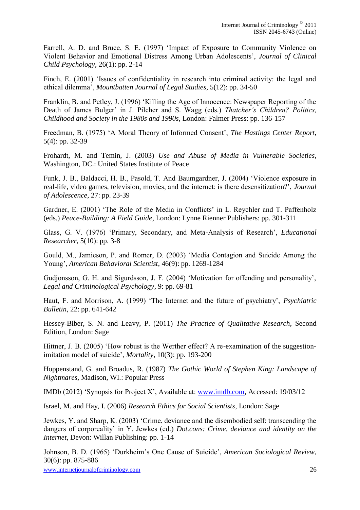Farrell, A. D. and Bruce, S. E. (1997) 'Impact of Exposure to Community Violence on Violent Behavior and Emotional Distress Among Urban Adolescents', *Journal of Clinical Child Psychology*, 26(1): pp. 2-14

Finch, E. (2001) 'Issues of confidentiality in research into criminal activity: the legal and ethical dilemma', *Mountbatten Journal of Legal Studies*, 5(12): pp. 34-50

Franklin, B. and Petley, J. (1996) 'Killing the Age of Innocence: Newspaper Reporting of the Death of James Bulger' in J. Pilcher and S. Wagg (eds.) *Thatcher's Children? Politics, Childhood and Society in the 1980s and 1990s*, London: Falmer Press: pp. 136-157

Freedman, B. (1975) 'A Moral Theory of Informed Consent', *The Hastings Center Report*, 5(4): pp. 32-39

Frohardt, M. and Temin, J. (2003) *Use and Abuse of Media in Vulnerable Societies*, Washington, DC.: United States Institute of Peace

Funk, J. B., Baldacci, H. B., Pasold, T. And Baumgardner, J. (2004) 'Violence exposure in real-life, video games, television, movies, and the internet: is there desensitization?', *Journal of Adolescence*, 27: pp. 23-39

Gardner, E. (2001) 'The Role of the Media in Conflicts' in L. Reychler and T. Paffenholz (eds.) *Peace-Building: A Field Guide*, London: Lynne Rienner Publishers: pp. 301-311

Glass, G. V. (1976) 'Primary, Secondary, and Meta-Analysis of Research', *Educational Researcher*, 5(10): pp. 3-8

Gould, M., Jamieson, P. and Romer, D. (2003) 'Media Contagion and Suicide Among the Young', *American Behavioral Scientist*, 46(9): pp. 1269-1284

Gudjonsson, G. H. and Sigurdsson, J. F. (2004) 'Motivation for offending and personality', *Legal and Criminological Psychology*, 9: pp. 69-81

Haut, F. and Morrison, A. (1999) 'The Internet and the future of psychiatry', *Psychiatric Bulletin*, 22: pp. 641-642

Hessey-Biber, S. N. and Leavy, P. (2011) *The Practice of Qualitative Research*, Second Edition, London: Sage

Hittner, J. B. (2005) 'How robust is the Werther effect? A re-examination of the suggestionimitation model of suicide', *Mortality*, 10(3): pp. 193-200

Hoppenstand, G. and Broadus, R. (1987) *The Gothic World of Stephen King: Landscape of Nightmares*, Madison, WI.: Popular Press

IMDb (2012) 'Synopsis for Project X', Available at: [www.imdb.com,](http://www.imdb.com/) Accessed: 19/03/12

Israel, M. and Hay, I. (2006) *Research Ethics for Social Scientists*, London: Sage

Jewkes, Y. and Sharp, K. (2003) 'Crime, deviance and the disembodied self: transcending the dangers of corporeality' in Y. Jewkes (ed.) *Dot.cons: Crime, deviance and identity on the Internet*, Devon: Willan Publishing: pp. 1-14

Johnson, B. D. (1965) 'Durkheim's One Cause of Suicide', *American Sociological Review*, 30(6): pp. 875-886

www.internetjournalofcriminology.com 26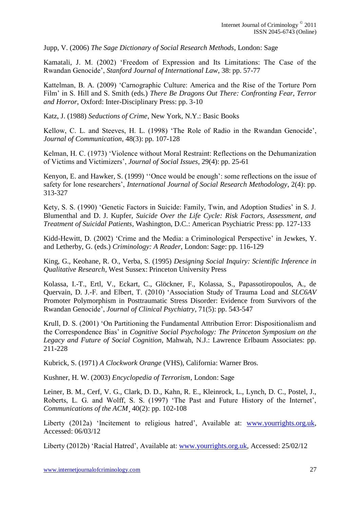Jupp, V. (2006) *The Sage Dictionary of Social Research Methods*, London: Sage

Kamatali, J. M. (2002) 'Freedom of Expression and Its Limitations: The Case of the Rwandan Genocide', *Stanford Journal of International Law*, 38: pp. 57-77

Kattelman, B. A. (2009) 'Carnographic Culture: America and the Rise of the Torture Porn Film' in S. Hill and S. Smith (eds.) *There Be Dragons Out There: Confronting Fear, Terror and Horror*, Oxford: Inter-Disciplinary Press: pp. 3-10

Katz, J. (1988) *Seductions of Crime*, New York, N.Y.: Basic Books

Kellow, C. L. and Steeves, H. L. (1998) 'The Role of Radio in the Rwandan Genocide', *Journal of Communication*, 48(3): pp. 107-128

Kelman, H. C. (1973) 'Violence without Moral Restraint: Reflections on the Dehumanization of Victims and Victimizers', *Journal of Social Issues*, 29(4): pp. 25-61

Kenyon, E. and Hawker, S. (1999) ''Once would be enough': some reflections on the issue of safety for lone researchers', *International Journal of Social Research Methodology*, 2(4): pp. 313-327

Kety, S. S. (1990) 'Genetic Factors in Suicide: Family, Twin, and Adoption Studies' in S. J. Blumenthal and D. J. Kupfer, *Suicide Over the Life Cycle: Risk Factors, Assessment, and Treatment of Suicidal Patients*, Washington, D.C.: American Psychiatric Press: pp. 127-133

Kidd-Hewitt, D. (2002) 'Crime and the Media: a Criminological Perspective' in Jewkes, Y. and Letherby, G. (eds.) *Criminology: A Reader*, London: Sage: pp. 116-129

King, G., Keohane, R. O., Verba, S. (1995) *Designing Social Inquiry: Scientific Inference in Qualitative Research*, West Sussex: Princeton University Press

Kolassa, I.-T., Ertl, V., Eckart, C., Glöckner, F., Kolassa, S., Papassotiropoulos, A., de Quervain, D. J.-F. and Elbert, T. (2010) 'Association Study of Trauma Load and *SLC6AV* Promoter Polymorphism in Posttraumatic Stress Disorder: Evidence from Survivors of the Rwandan Genocide', *Journal of Clinical Psychiatry*, 71(5): pp. 543-547

Krull, D. S. (2001) 'On Partitioning the Fundamental Attribution Error: Dispositionalism and the Correspondence Bias' in *Cognitive Social Psychology: The Princeton Symposium on the Legacy and Future of Social Cognition*, Mahwah, N.J.: Lawrence Erlbaum Associates: pp. 211-228

Kubrick, S. (1971) *A Clockwork Orange* (VHS), California: Warner Bros.

Kushner, H. W. (2003) *Encyclopedia of Terrorism*, London: Sage

Leiner, B. M., Cerf, V. G., Clark, D. D., Kahn, R. E., Kleinrock, L., Lynch, D. C., Postel, J., Roberts, L. G. and Wolff, S. S. (1997) 'The Past and Future History of the Internet', *Communications of the ACM*¸ 40(2): pp. 102-108

Liberty (2012a) 'Incitement to religious hatred', Available at: [www.yourrights.org.uk,](http://www.yourrights.org.uk/) Accessed: 06/03/12

Liberty (2012b) 'Racial Hatred', Available at: [www.yourrights.org.uk,](http://www.yourrights.org.uk/) Accessed: 25/02/12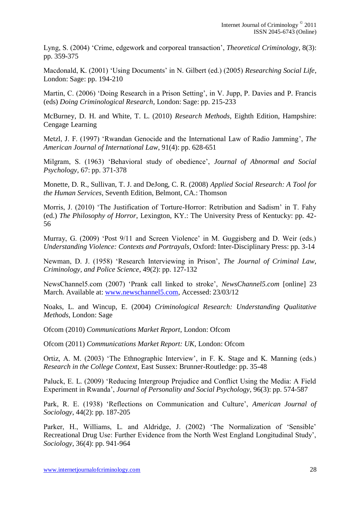Lyng, S. (2004) 'Crime, edgework and corporeal transaction', *Theoretical Criminology*, 8(3): pp. 359-375

Macdonald, K. (2001) 'Using Documents' in N. Gilbert (ed.) (2005) *Researching Social Life*, London: Sage: pp. 194-210

Martin, C. (2006) 'Doing Research in a Prison Setting', in V. Jupp, P. Davies and P. Francis (eds) *Doing Criminological Research*, London: Sage: pp. 215-233

McBurney, D. H. and White, T. L. (2010) *Research Methods*, Eighth Edition, Hampshire: Cengage Learning

Metzl, J. F. (1997) 'Rwandan Genocide and the International Law of Radio Jamming', *The American Journal of International Law*, 91(4): pp. 628-651

Milgram, S. (1963) 'Behavioral study of obedience', *Journal of Abnormal and Social Psychology*, 67: pp. 371-378

Monette, D. R., Sullivan, T. J. and DeJong, C. R. (2008) *Applied Social Research: A Tool for the Human Services*, Seventh Edition, Belmont, CA.: Thomson

Morris, J. (2010) 'The Justification of Torture-Horror: Retribution and Sadism' in T. Fahy (ed.) *The Philosophy of Horror*, Lexington, KY.: The University Press of Kentucky: pp. 42- 56

Murray, G. (2009) 'Post 9/11 and Screen Violence' in M. Guggisberg and D. Weir (eds.) *Understanding Violence: Contexts and Portrayals*, Oxford: Inter-Disciplinary Press: pp. 3-14

Newman, D. J. (1958) 'Research Interviewing in Prison', *The Journal of Criminal Law, Criminology, and Police Science*, 49(2): pp. 127-132

NewsChannel5.com (2007) 'Prank call linked to stroke', *NewsChannel5.com* [online] 23 March. Available at: [www.newschannel5.com,](http://www.newschannel5.com/) Accessed: 23/03/12

Noaks, L. and Wincup, E. (2004) *Criminological Research: Understanding Qualitative Methods*, London: Sage

Ofcom (2010) *Communications Market Report*, London: Ofcom

Ofcom (2011) *Communications Market Report: UK*, London: Ofcom

Ortiz, A. M. (2003) 'The Ethnographic Interview', in F. K. Stage and K. Manning (eds.) *Research in the College Context*, East Sussex: Brunner-Routledge: pp. 35-48

Paluck, E. L. (2009) 'Reducing Intergroup Prejudice and Conflict Using the Media: A Field Experiment in Rwanda', *Journal of Personality and Social Psychology*, 96(3): pp. 574-587

Park, R. E. (1938) 'Reflections on Communication and Culture', *American Journal of Sociology*, 44(2): pp. 187-205

Parker, H., Williams, L. and Aldridge, J. (2002) 'The Normalization of 'Sensible' Recreational Drug Use: Further Evidence from the North West England Longitudinal Study', *Sociology*, 36(4): pp. 941-964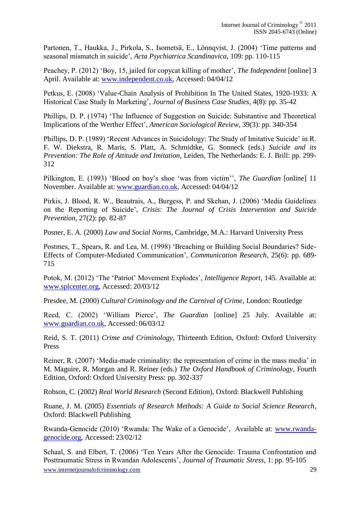Partonen, T., Haukka, J., Pirkola, S., Isometsä, E., Lönnqvist, J. (2004) 'Time patterns and seasonal mismatch in suicide', *Acta Psychiatrica Scandinavica*, 109: pp. 110-115

Peachey, P. (2012) 'Boy, 15, jailed for copycat killing of mother', *The Independent* [online] 3 April. Available at: [www.independent.co.uk,](http://www.independent.co.uk/) Accessed: 04/04/12

Petkus, E. (2008) 'Value-Chain Analysis of Prohibition In The United States, 1920-1933: A Historical Case Study In Marketing', *Journal of Business Case Studies*, 4(8): pp. 35-42

Phillips, D. P. (1974) 'The Influence of Suggestion on Suicide: Substantive and Theoretical Implications of the Werther Effect', *American Sociological Review*, 39(3): pp. 340-354

Phillips, D. P. (1989) 'Recent Advances in Suicidology: The Study of Imitative Suicide' in R. F. W. Diekstra, R. Maris, S. Platt, A. Schmidtke, G. Sonneck (eds.) *Suicide and its Prevention: The Role of Attitude and Imitation*, Leiden, The Netherlands: E. J. Brill: pp. 299- 312

Pilkington, E. (1993) 'Blood on boy's shoe 'was from victim'', *The Guardian* [online] 11 November. Available at: [www.guardian.co.uk,](http://www.guardian.co.uk/) Accessed: 04/04/12

Pirkis, J. Blood, R. W., Beautrais, A., Burgess, P. and Skehan, J. (2006) 'Media Guidelines on the Reporting of Suicide', *Crisis: The Journal of Crisis Intervention and Suicide Prevention*, 27(2): pp. 82-87

Posner, E. A. (2000) *Law and Social Norms*, Cambridge, M.A.: Harvard University Press

Postmes, T., Spears, R. and Lea, M. (1998) 'Breaching or Building Social Boundaries? Side-Effects of Computer-Mediated Communication', *Communication Research*, 25(6): pp. 689- 715

Potok, M. (2012) 'The 'Patriot' Movement Explodes', *Intelligence Report*, 145. Available at: [www.splcenter.org,](http://www.splcenter.org/) Accessed: 20/03/12

Presdee, M. (2000) *Cultural Criminology and the Carnival of Crime*, London: Routledge

Reed, C. (2002) 'William Pierce', *The Guardian* [online] 25 July. Available at: [www.guardian.co.uk,](http://www.guardian.co.uk/) Accessed: 06/03/12

Reid, S. T. (2011) *Crime and Criminology*, Thirteenth Edition, Oxford: Oxford University Press

Reiner, R. (2007) 'Media-made criminality: the representation of crime in the mass media' in M. Maguire, R. Morgan and R. Reiner (eds.) *The Oxford Handbook of Criminology*, Fourth Edition, Oxford: Oxford University Press: pp. 302-337

Robson, C. (2002) *Real World Research* (Second Edition), Oxford: Blackwell Publishing

Ruane, J. M. (2005) *Essentials of Research Methods: A Guide to Social Science Research*, Oxford: Blackwell Publishing

Rwanda-Genocide (2010) 'Rwanda: The Wake of a Genocide', Available at: [www.rwanda](http://www.rwanda-genocide.org/)[genocide.org,](http://www.rwanda-genocide.org/) Accessed: 23/02/12

www.internetiournalofcriminology.com 29 Schaal, S. and Elbert, T. (2006) 'Ten Years After the Genocide: Trauma Confrontation and Posttraumatic Stress in Rwandan Adolescents', *Journal of Traumatic Stress*, 1: pp. 95-105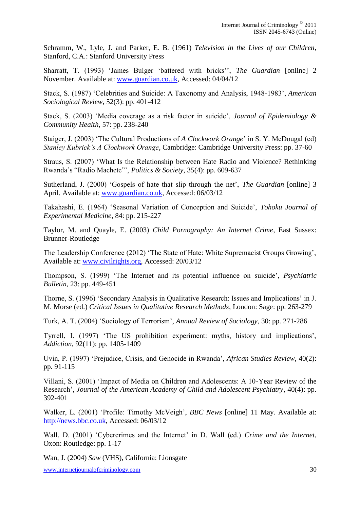Schramm, W., Lyle, J. and Parker, E. B. (1961) *Television in the Lives of our Children*, Stanford, C.A.: Stanford University Press

Sharratt, T. (1993) 'James Bulger 'battered with bricks'', *The Guardian* [online] 2 November. Available at: [www.guardian.co.uk,](http://www.guardian.co.uk/) Accessed: 04/04/12

Stack, S. (1987) 'Celebrities and Suicide: A Taxonomy and Analysis, 1948-1983', *American Sociological Review*, 52(3): pp. 401-412

Stack, S. (2003) 'Media coverage as a risk factor in suicide', *Journal of Epidemiology & Community Health*, 57: pp. 238-240

Staiger, J. (2003) 'The Cultural Productions of *A Clockwork Orange*' in S. Y. McDougal (ed) *Stanley Kubrick's A Clockwork Orange*, Cambridge: Cambridge University Press: pp. 37-60

Straus, S. (2007) 'What Is the Relationship between Hate Radio and Violence? Rethinking Rwanda's "Radio Machete"', *Politics & Society*, 35(4): pp. 609-637

Sutherland, J. (2000) 'Gospels of hate that slip through the net', *The Guardian* [online] 3 April. Available at: [www.guardian.co.uk,](http://www.guardian.co.uk/) Accessed: 06/03/12

Takahashi, E. (1964) 'Seasonal Variation of Conception and Suicide', *Tohoku Journal of Experimental Medicine*, 84: pp. 215-227

Taylor, M. and Quayle, E. (2003) *Child Pornography: An Internet Crime*, East Sussex: Brunner-Routledge

The Leadership Conference (2012) 'The State of Hate: White Supremacist Groups Growing', Available at: [www.civilrights.org,](http://www.civilrights.org/) Accessed: 20/03/12

Thompson, S. (1999) 'The Internet and its potential influence on suicide', *Psychiatric Bulletin*, 23: pp. 449-451

Thorne, S. (1996) 'Secondary Analysis in Qualitative Research: Issues and Implications' in J. M. Morse (ed.) *Critical Issues in Qualitative Research Methods*, London: Sage: pp. 263-279

Turk, A. T. (2004) 'Sociology of Terrorism', *Annual Review of Sociology*, 30: pp. 271-286

Tyrrell, I. (1997) 'The US prohibition experiment: myths, history and implications', *Addiction*, 92(11): pp. 1405-1409

Uvin, P. (1997) 'Prejudice, Crisis, and Genocide in Rwanda', *African Studies Review*, 40(2): pp. 91-115

Villani, S. (2001) 'Impact of Media on Children and Adolescents: A 10-Year Review of the Research', *Journal of the American Academy of Child and Adolescent Psychiatry*, 40(4): pp. 392-401

Walker, L. (2001) 'Profile: Timothy McVeigh', *BBC News* [online] 11 May. Available at: [http://news.bbc.co.uk,](http://news.bbc.co.uk/) Accessed: 06/03/12

Wall, D. (2001) 'Cybercrimes and the Internet' in D. Wall (ed.) *Crime and the Internet*, Oxon: Routledge: pp. 1-17

Wan, J. (2004) *Saw* (VHS), California: Lionsgate

www.internetjournalofcriminology.com 30